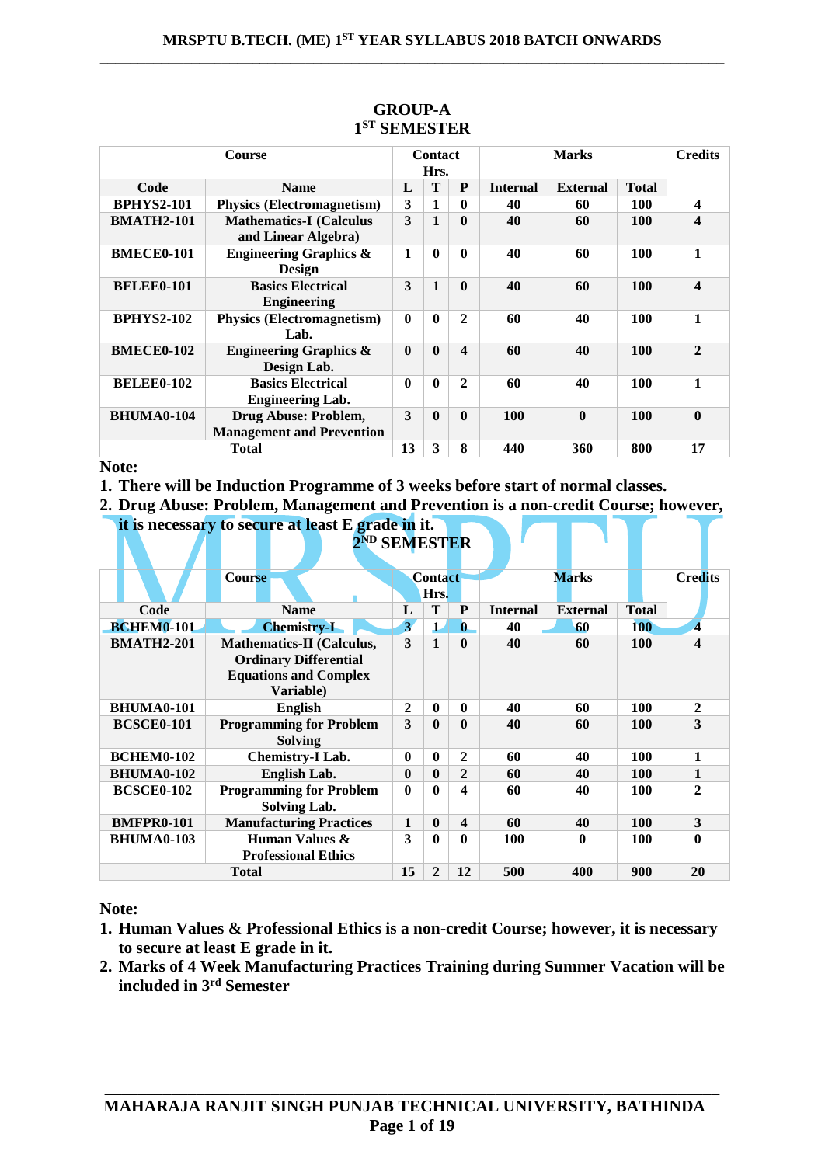| <b>Course</b>     |                                                          | <b>Contact</b><br>Hrs. |              |              | <b>Marks</b>    |                 |              | <b>Credits</b>          |
|-------------------|----------------------------------------------------------|------------------------|--------------|--------------|-----------------|-----------------|--------------|-------------------------|
| Code              | <b>Name</b>                                              | L                      | T            | P            | <b>Internal</b> | <b>External</b> | <b>Total</b> |                         |
| <b>BPHYS2-101</b> | <b>Physics (Electromagnetism)</b>                        | 3                      |              | 0            | 40              | 60              | 100          | $\overline{\mathbf{4}}$ |
| <b>BMATH2-101</b> | <b>Mathematics-I</b> (Calculus<br>and Linear Algebra)    | 3                      |              | 0            | 40              | 60              | 100          | 4                       |
| <b>BMECE0-101</b> | <b>Engineering Graphics &amp;</b><br><b>Design</b>       | 1                      | $\mathbf{0}$ | 0            | 40              | 60              | 100          | 1                       |
| <b>BELEE0-101</b> | <b>Basics Electrical</b><br><b>Engineering</b>           | 3                      | $\mathbf{1}$ | $\mathbf{0}$ | 40              | 60              | 100          | $\boldsymbol{4}$        |
| <b>BPHYS2-102</b> | <b>Physics (Electromagnetism)</b><br>Lab.                | $\mathbf 0$            | $\mathbf{0}$ | $\mathbf{2}$ | 60              | 40              | 100          | 1                       |
| <b>BMECE0-102</b> | <b>Engineering Graphics &amp;</b><br>Design Lab.         | $\mathbf{0}$           | $\mathbf{0}$ | 4            | 60              | 40              | 100          | $\overline{2}$          |
| <b>BELEE0-102</b> | <b>Basics Electrical</b><br><b>Engineering Lab.</b>      | $\bf{0}$               | $\mathbf{0}$ | 2            | 60              | 40              | 100          | 1                       |
| <b>BHUMA0-104</b> | Drug Abuse: Problem,<br><b>Management and Prevention</b> | 3                      | $\mathbf{0}$ | $\mathbf{0}$ | 100             | $\mathbf{0}$    | 100          | $\mathbf{0}$            |
|                   | <b>Total</b>                                             | 13                     | 3            | 8            | 440             | 360             | 800          | 17                      |

# **GROUP-A 1 ST SEMESTER**

**Note:** 

**1. There will be Induction Programme of 3 weeks before start of normal classes.**

**2. Drug Abuse: Problem, Management and Prevention is a non-credit Course; however, it is necessary to secure at least E grade in it.**

|                   | 2 <sup>ND</sup> SEMESTER                                                                                      |                         |                        |              |                 |                 |              |                  |
|-------------------|---------------------------------------------------------------------------------------------------------------|-------------------------|------------------------|--------------|-----------------|-----------------|--------------|------------------|
|                   | <b>Course</b>                                                                                                 |                         | <b>Contact</b><br>Hrs. |              |                 | <b>Marks</b>    |              | <b>Credits</b>   |
| Code              | <b>Name</b>                                                                                                   | L                       | T                      | P            | <b>Internal</b> | <b>External</b> | <b>Total</b> |                  |
| <b>BCHEM0-101</b> | <b>Chemistry-I</b>                                                                                            | $\overline{\mathbf{3}}$ | $\mathbf 1$            | $\mathbf{0}$ | 40              | 60              | <b>100</b>   | 4                |
| <b>BMATH2-201</b> | <b>Mathematics-II (Calculus,</b><br><b>Ordinary Differential</b><br><b>Equations and Complex</b><br>Variable) | 3                       | $\mathbf{1}$           | $\mathbf{0}$ | 40              | 60              | <b>100</b>   | $\boldsymbol{4}$ |
| <b>BHUMA0-101</b> | <b>English</b>                                                                                                | 2                       | $\mathbf{0}$           | 0            | 40              | 60              | 100          | $\mathbf{2}$     |
| <b>BCSCE0-101</b> | <b>Programming for Problem</b><br><b>Solving</b>                                                              | 3                       | $\mathbf{0}$           | 0            | 40              | 60              | <b>100</b>   | 3                |
| <b>BCHEM0-102</b> | <b>Chemistry-I Lab.</b>                                                                                       | $\bf{0}$                | $\mathbf{0}$           | 2            | 60              | 40              | <b>100</b>   | 1                |
| <b>BHUMA0-102</b> | English Lab.                                                                                                  | $\bf{0}$                | $\mathbf{0}$           | $\mathbf{2}$ | 60              | 40              | <b>100</b>   | 1                |
| <b>BCSCE0-102</b> | <b>Programming for Problem</b><br><b>Solving Lab.</b>                                                         | $\boldsymbol{0}$        | $\mathbf{0}$           | 4            | 60              | 40              | 100          | $\mathbf{2}$     |
| <b>BMFPR0-101</b> | <b>Manufacturing Practices</b>                                                                                | $\mathbf{1}$            | $\mathbf{0}$           | 4            | 60              | 40              | 100          | 3                |
| <b>BHUMA0-103</b> | Human Values &<br><b>Professional Ethics</b>                                                                  | 3                       | $\mathbf{0}$           | 0            | <b>100</b>      | 0               | 100          | 0                |
|                   | <b>Total</b>                                                                                                  | 15                      | $\mathbf{2}$           | 12           | 500             | 400             | 900          | 20               |

**Note:** 

- **1. Human Values & Professional Ethics is a non-credit Course; however, it is necessary to secure at least E grade in it.**
- **2. Marks of 4 Week Manufacturing Practices Training during Summer Vacation will be included in 3rd Semester**

**\_\_\_\_\_\_\_\_\_\_\_\_\_\_\_\_\_\_\_\_\_\_\_\_\_\_\_\_\_\_\_\_\_\_\_\_\_\_\_\_\_\_\_\_\_\_\_\_\_\_\_\_\_\_\_\_\_\_\_\_\_\_\_\_\_\_\_\_\_\_\_\_\_\_**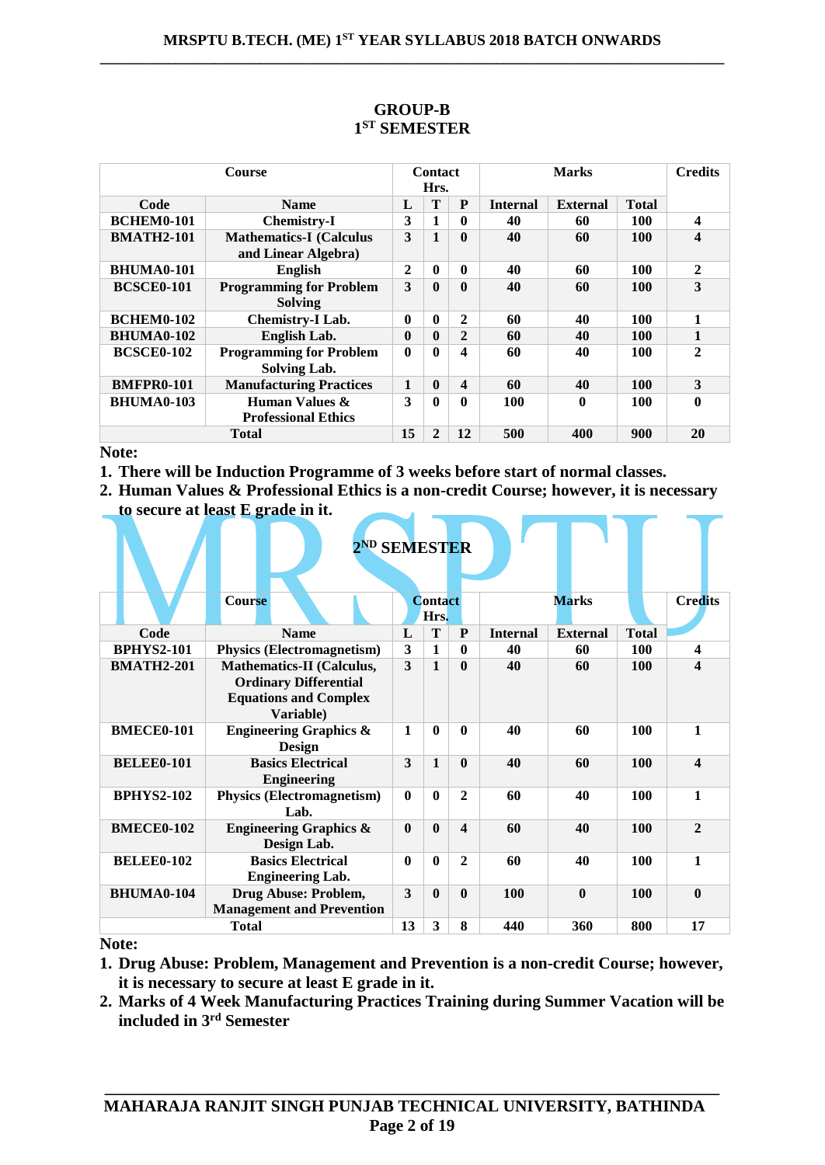| <b>Course</b>     |                                                       | <b>Contact</b><br>Hrs. |              |                | <b>Marks</b>    |                 |              | Credits      |
|-------------------|-------------------------------------------------------|------------------------|--------------|----------------|-----------------|-----------------|--------------|--------------|
| Code              | <b>Name</b>                                           | L                      | T            | P              | <b>Internal</b> | <b>External</b> | <b>Total</b> |              |
| <b>BCHEM0-101</b> | <b>Chemistry-I</b>                                    | 3                      |              | 0              | 40              | 60              | 100          | 4            |
| <b>BMATH2-101</b> | <b>Mathematics-I</b> (Calculus<br>and Linear Algebra) | 3                      | 1            | $\mathbf{0}$   | 40              | 60              | 100          | 4            |
| <b>BHUMA0-101</b> | <b>English</b>                                        | $\mathbf{2}$           | $\mathbf{0}$ | 0              | 40              | 60              | 100          | $\mathbf{2}$ |
| <b>BCSCE0-101</b> | <b>Programming for Problem</b><br><b>Solving</b>      | 3                      | $\mathbf{0}$ | $\mathbf{0}$   | 40              | 60              | <b>100</b>   | 3            |
| <b>BCHEM0-102</b> | <b>Chemistry-I Lab.</b>                               | $\mathbf{0}$           | $\mathbf{0}$ | $\mathbf{2}$   | 60              | 40              | <b>100</b>   | 1            |
| <b>BHUMA0-102</b> | English Lab.                                          | $\mathbf{0}$           | $\mathbf{0}$ | $\overline{2}$ | 60              | 40              | <b>100</b>   | 1            |
| <b>BCSCE0-102</b> | <b>Programming for Problem</b><br>Solving Lab.        | $\mathbf{0}$           | $\mathbf{0}$ | 4              | 60              | 40              | 100          | $\mathbf{2}$ |
| <b>BMFPR0-101</b> | <b>Manufacturing Practices</b>                        | $\mathbf{1}$           | $\mathbf{0}$ | 4              | 60              | 40              | <b>100</b>   | 3            |
| <b>BHUMA0-103</b> | Human Values &<br><b>Professional Ethics</b>          | 3                      | 0            | 0              | <b>100</b>      | 0               | <b>100</b>   | 0            |
|                   | Total                                                 | 15                     | $\mathbf{2}$ | 12             | 500             | 400             | 900          | 20           |

# **GROUP-B 1 ST SEMESTER**

### **Note:**

- **1. There will be Induction Programme of 3 weeks before start of normal classes.**
- **2. Human Values & Professional Ethics is a non-credit Course; however, it is necessary to secure at least E grade in it. Contract Contract Contract** . L

|                   | 2 <sup>ND</sup> SEMESTER                                                                                      |          |                        |                         |                 |                 |              |                         |
|-------------------|---------------------------------------------------------------------------------------------------------------|----------|------------------------|-------------------------|-----------------|-----------------|--------------|-------------------------|
|                   | <b>Course</b>                                                                                                 |          | <b>Contact</b><br>Hrs. |                         |                 | <b>Marks</b>    |              | <b>Credits</b>          |
| Code              | <b>Name</b>                                                                                                   | L        | T                      | P                       | <b>Internal</b> | <b>External</b> | <b>Total</b> |                         |
| <b>BPHYS2-101</b> | <b>Physics (Electromagnetism)</b>                                                                             | 3        | 1                      | $\mathbf{0}$            | 40              | 60              | 100          | $\overline{\mathbf{4}}$ |
| <b>BMATH2-201</b> | <b>Mathematics-II (Calculus,</b><br><b>Ordinary Differential</b><br><b>Equations and Complex</b><br>Variable) | 3        | $\mathbf{1}$           | $\mathbf{0}$            | 40              | 60              | 100          | 4                       |
| <b>BMECE0-101</b> | <b>Engineering Graphics &amp;</b><br><b>Design</b>                                                            | 1        | $\mathbf{0}$           | $\mathbf{0}$            | 40              | 60              | 100          | 1                       |
| <b>BELEE0-101</b> | <b>Basics Electrical</b><br><b>Engineering</b>                                                                | 3        | 1                      | $\bf{0}$                | 40              | 60              | 100          | 4                       |
| <b>BPHYS2-102</b> | <b>Physics (Electromagnetism)</b><br>Lab.                                                                     | $\bf{0}$ | $\mathbf{0}$           | 2                       | 60              | 40              | 100          | 1                       |
| <b>BMECE0-102</b> | <b>Engineering Graphics &amp;</b><br>Design Lab.                                                              | $\bf{0}$ | $\mathbf{0}$           | $\overline{\mathbf{4}}$ | 60              | 40              | 100          | $\mathbf{2}$            |
| <b>BELEE0-102</b> | <b>Basics Electrical</b><br><b>Engineering Lab.</b>                                                           | 0        | $\mathbf{0}$           | $\overline{c}$          | 60              | 40              | 100          | 1                       |
| <b>BHUMA0-104</b> | Drug Abuse: Problem,<br><b>Management and Prevention</b>                                                      | 3        | $\mathbf{0}$           | $\bf{0}$                | 100             | $\mathbf{0}$    | 100          | $\mathbf{0}$            |
|                   | <b>Total</b>                                                                                                  | 13       | 3                      | 8                       | 440             | 360             | 800          | 17                      |

**Note:** 

- **1. Drug Abuse: Problem, Management and Prevention is a non-credit Course; however, it is necessary to secure at least E grade in it.**
- **2. Marks of 4 Week Manufacturing Practices Training during Summer Vacation will be included in 3rd Semester**

**\_\_\_\_\_\_\_\_\_\_\_\_\_\_\_\_\_\_\_\_\_\_\_\_\_\_\_\_\_\_\_\_\_\_\_\_\_\_\_\_\_\_\_\_\_\_\_\_\_\_\_\_\_\_\_\_\_\_\_\_\_\_\_\_\_\_\_\_\_\_\_\_\_\_**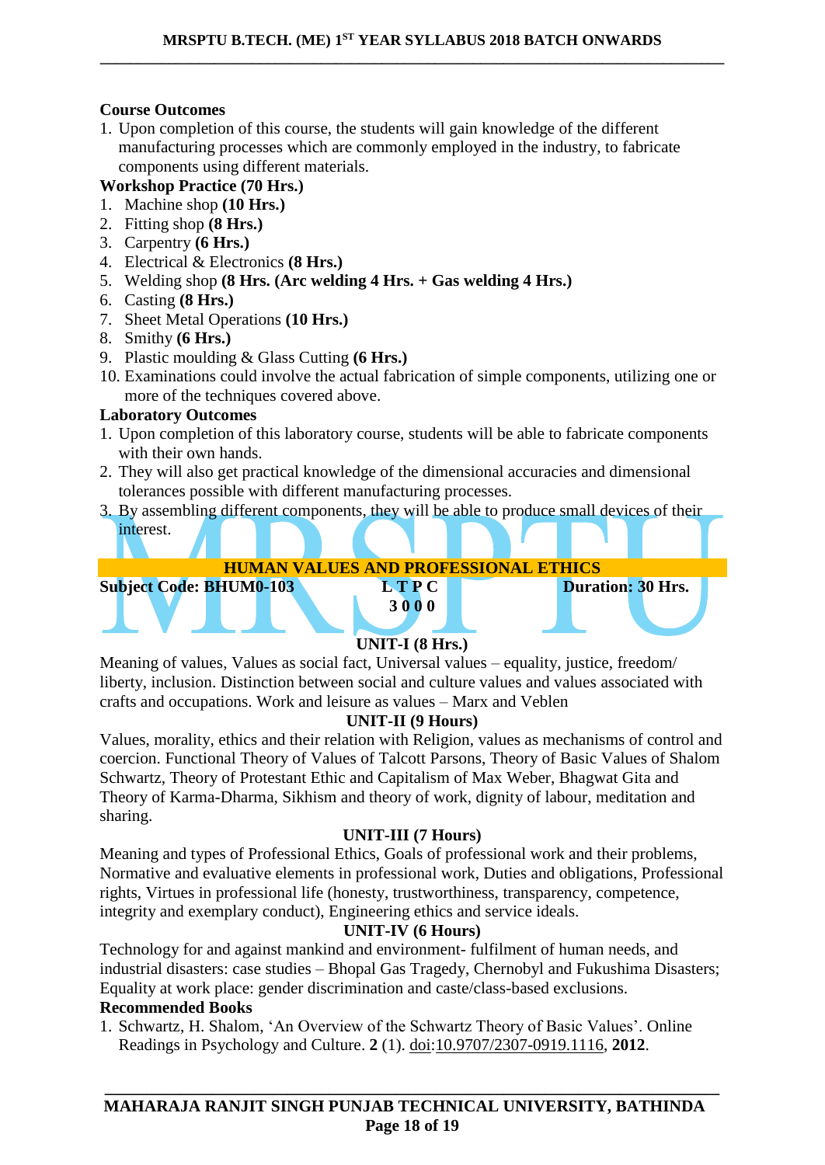# **Course Outcomes**

1. Upon completion of this course, the students will gain knowledge of the different manufacturing processes which are commonly employed in the industry, to fabricate components using different materials.

# **Workshop Practice (70 Hrs.)**

- 1. Machine shop **(10 Hrs.)**
- 2. Fitting shop **(8 Hrs.)**
- 3. Carpentry **(6 Hrs.)**
- 4. Electrical & Electronics **(8 Hrs.)**
- 5. Welding shop **(8 Hrs. (Arc welding 4 Hrs. + Gas welding 4 Hrs.)**
- 6. Casting **(8 Hrs.)**
- 7. Sheet Metal Operations **(10 Hrs.)**
- 8. Smithy **(6 Hrs.)**
- 9. Plastic moulding & Glass Cutting **(6 Hrs.)**
- 10. Examinations could involve the actual fabrication of simple components, utilizing one or more of the techniques covered above.

# **Laboratory Outcomes**

- 1. Upon completion of this laboratory course, students will be able to fabricate components with their own hands.
- 2. They will also get practical knowledge of the dimensional accuracies and dimensional tolerances possible with different manufacturing processes.
- 3. By assembling different components, they will be able to produce small devices of their interest.

**HUMAN VALUES AND PROFESSIONAL ETHICS**



# **UNIT-I (8 Hrs.)**

Meaning of values, Values as social fact, Universal values – equality, justice, freedom/ liberty, inclusion. Distinction between social and culture values and values associated with crafts and occupations. Work and leisure as values – Marx and Veblen

# **UNIT-II (9 Hours)**

Values, morality, ethics and their relation with Religion, values as mechanisms of control and coercion. Functional Theory of Values of Talcott Parsons, Theory of Basic Values of Shalom Schwartz, Theory of Protestant Ethic and Capitalism of Max Weber, Bhagwat Gita and Theory of Karma-Dharma, Sikhism and theory of work, dignity of labour, meditation and sharing.

# **UNIT-III (7 Hours)**

Meaning and types of Professional Ethics, Goals of professional work and their problems, Normative and evaluative elements in professional work, Duties and obligations, Professional rights, Virtues in professional life (honesty, trustworthiness, transparency, competence, integrity and exemplary conduct), Engineering ethics and service ideals.

# **UNIT-IV (6 Hours)**

Technology for and against mankind and environment- fulfilment of human needs, and industrial disasters: case studies – Bhopal Gas Tragedy, Chernobyl and Fukushima Disasters; Equality at work place: gender discrimination and caste/class-based exclusions.

# **Recommended Books**

1. Schwartz, H. Shalom, 'An Overview of the Schwartz Theory of Basic Values'. Online Readings in Psychology and Culture. **2** (1). [doi](https://en.wikipedia.org/wiki/Digital_object_identifier)[:10.9707/2307-0919.1116,](https://doi.org/10.9707%2F2307-0919.1116) **2012**.